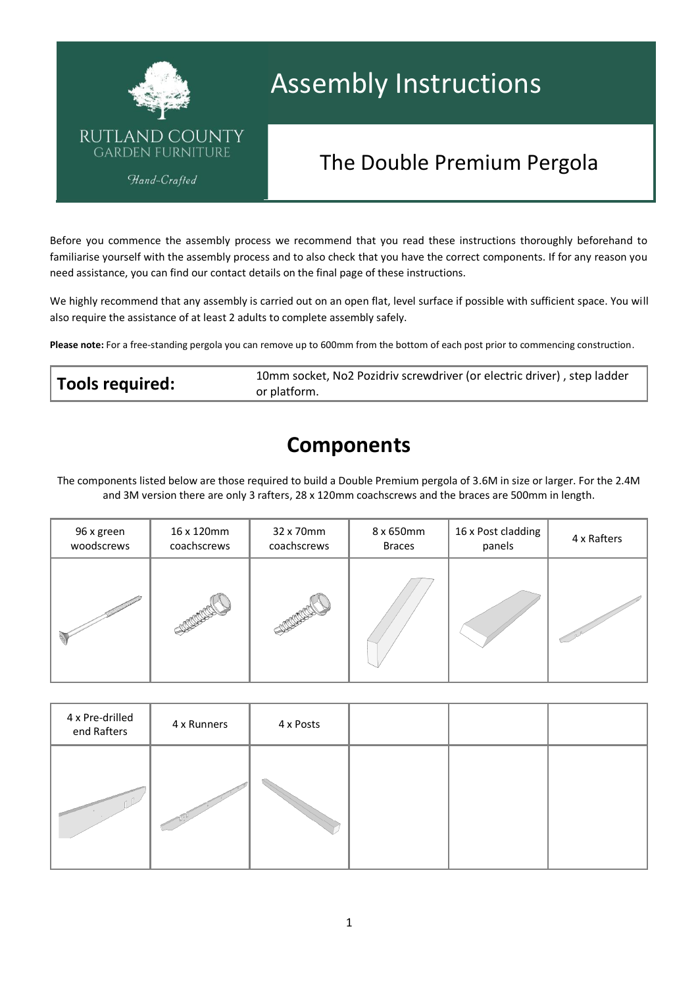

# Assembly Instructions

## The Double Premium Pergola

Before you commence the assembly process we recommend that you read these instructions thoroughly beforehand to familiarise yourself with the assembly process and to also check that you have the correct components. If for any reason you need assistance, you can find our contact details on the final page of these instructions.

We highly recommend that any assembly is carried out on an open flat, level surface if possible with sufficient space. You will also require the assistance of at least 2 adults to complete assembly safely.

**Please note:** For a free-standing pergola you can remove up to 600mm from the bottom of each post prior to commencing construction.

| Tools required: | 10mm socket, No2 Pozidriv screwdriver (or electric driver), step ladder |
|-----------------|-------------------------------------------------------------------------|
|                 | or platform.                                                            |

### **Components**

The components listed below are those required to build a Double Premium pergola of 3.6M in size or larger. For the 2.4M and 3M version there are only 3 rafters, 28 x 120mm coachscrews and the braces are 500mm in length.

| 96 x green | 16 x 120mm  | 32 x 70mm   | 8 x 650mm     | 16 x Post cladding | 4 x Rafters |
|------------|-------------|-------------|---------------|--------------------|-------------|
| woodscrews | coachscrews | coachscrews | <b>Braces</b> | panels             |             |
|            |             |             |               |                    |             |

| 4 x Pre-drilled<br>end Rafters | 4 x Runners | 4 x Posts |  |  |
|--------------------------------|-------------|-----------|--|--|
|                                |             |           |  |  |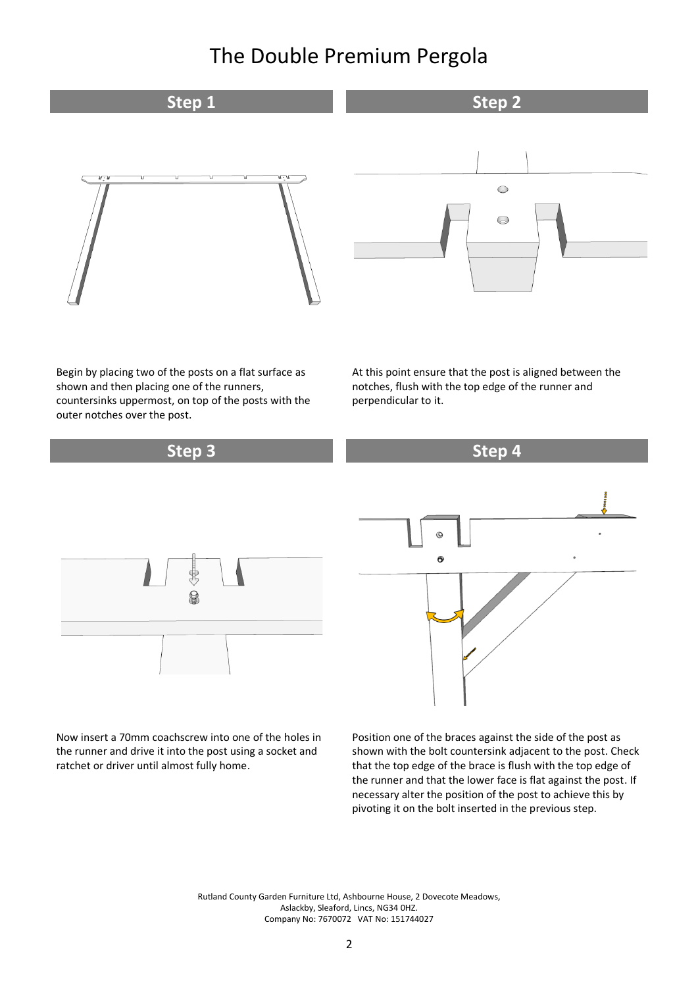

Begin by placing two of the posts on a flat surface as shown and then placing one of the runners, countersinks uppermost, on top of the posts with the outer notches over the post.

At this point ensure that the post is aligned between the notches, flush with the top edge of the runner and perpendicular to it.



Now insert a 70mm coachscrew into one of the holes in the runner and drive it into the post using a socket and ratchet or driver until almost fully home.

Position one of the braces against the side of the post as shown with the bolt countersink adjacent to the post. Check that the top edge of the brace is flush with the top edge of the runner and that the lower face is flat against the post. If necessary alter the position of the post to achieve this by pivoting it on the bolt inserted in the previous step.

Rutland County Garden Furniture Ltd, Ashbourne House, 2 Dovecote Meadows, Aslackby, Sleaford, Lincs, NG34 0HZ. Company No: 7670072 VAT No: 151744027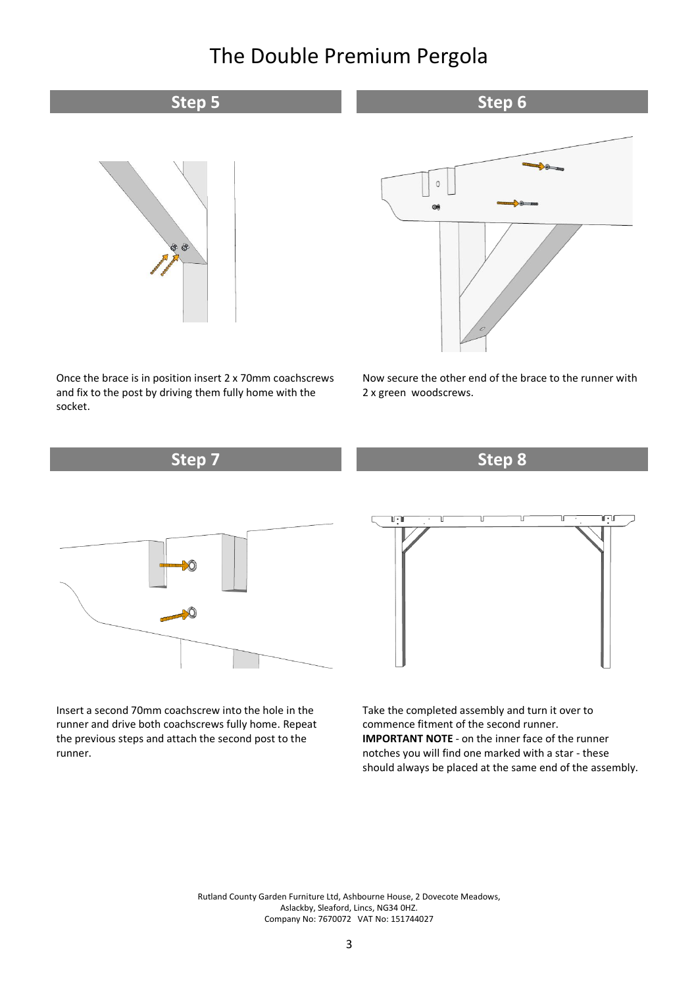### **Step 5 Step 6 Step 6**





Once the brace is in position insert 2 x 70mm coachscrews and fix to the post by driving them fully home with the socket.

Now secure the other end of the brace to the runner with 2 x green woodscrews.



Insert a second 70mm coachscrew into the hole in the runner and drive both coachscrews fully home. Repeat the previous steps and attach the second post to the runner.

Take the completed assembly and turn it over to commence fitment of the second runner. **IMPORTANT NOTE** - on the inner face of the runner notches you will find one marked with a star - these should always be placed at the same end of the assembly.

Rutland County Garden Furniture Ltd, Ashbourne House, 2 Dovecote Meadows, Aslackby, Sleaford, Lincs, NG34 0HZ. Company No: 7670072 VAT No: 151744027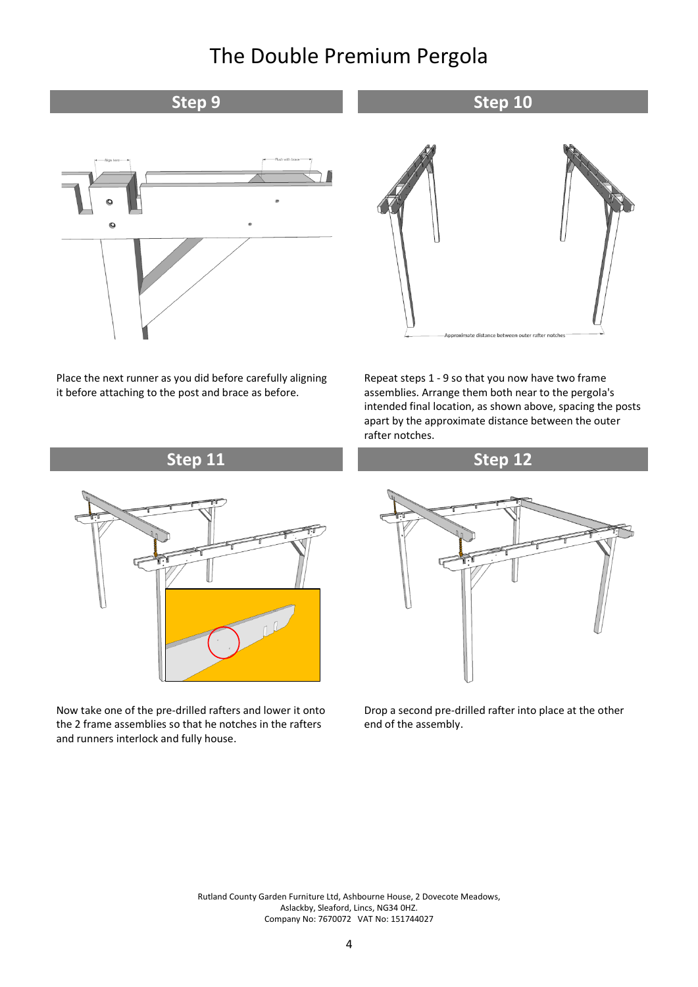#### **Step 9 Step 10 Step 10**



Place the next runner as you did before carefully aligning it before attaching to the post and brace as before.



Repeat steps 1 - 9 so that you now have two frame assemblies. Arrange them both near to the pergola's intended final location, as shown above, spacing the posts apart by the approximate distance between the outer rafter notches.





Now take one of the pre-drilled rafters and lower it onto the 2 frame assemblies so that he notches in the rafters and runners interlock and fully house.



Drop a second pre-drilled rafter into place at the other end of the assembly.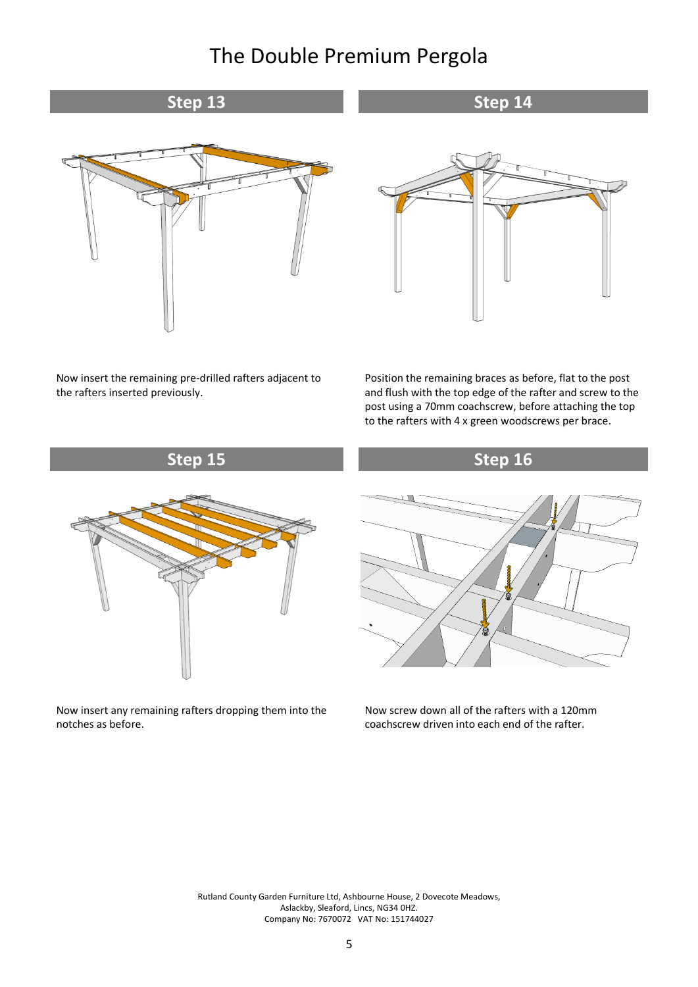**Step 13 Step 14 Step 14** 

**Step 15 Step 16**



Now insert the remaining pre-drilled rafters adjacent to the rafters inserted previously.



Position the remaining braces as before, flat to the post and flush with the top edge of the rafter and screw to the post using a 70mm coachscrew, before attaching the top to the rafters with 4 x green woodscrews per brace.



Now insert any remaining rafters dropping them into the notches as before.



Now screw down all of the rafters with a 120mm coachscrew driven into each end of the rafter.

Rutland County Garden Furniture Ltd, Ashbourne House, 2 Dovecote Meadows, Aslackby, Sleaford, Lincs, NG34 0HZ. Company No: 7670072 VAT No: 151744027